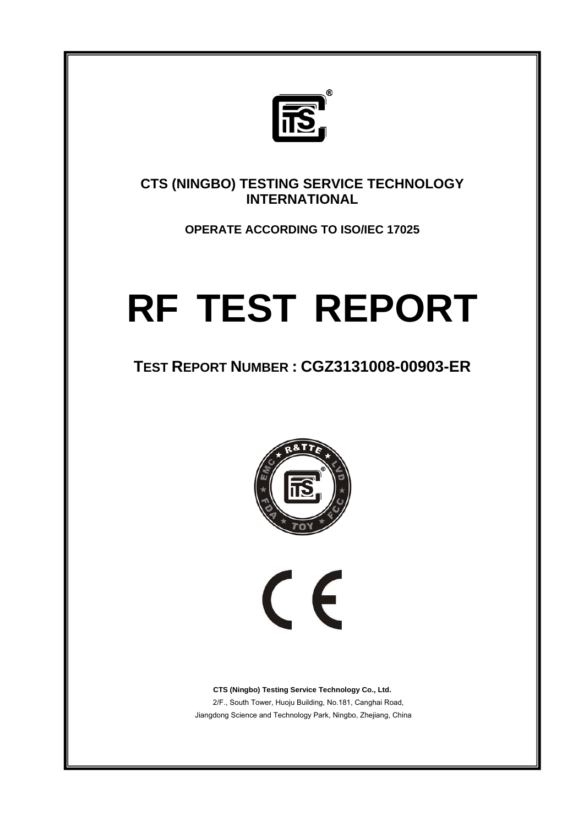

**CTS (NINGBO) TESTING SERVICE TECHNOLOGY INTERNATIONAL** 

**OPERATE ACCORDING TO ISO/IEC 17025** 

# **RF TEST REPORT**

# **TEST REPORT NUMBER : CGZ3131008-00903-ER**



 $\epsilon$ 

**CTS (Ningbo) Testing Service Technology Co., Ltd.** 2/F., South Tower, Huoju Building, No.181, Canghai Road, Jiangdong Science and Technology Park, Ningbo, Zhejiang, China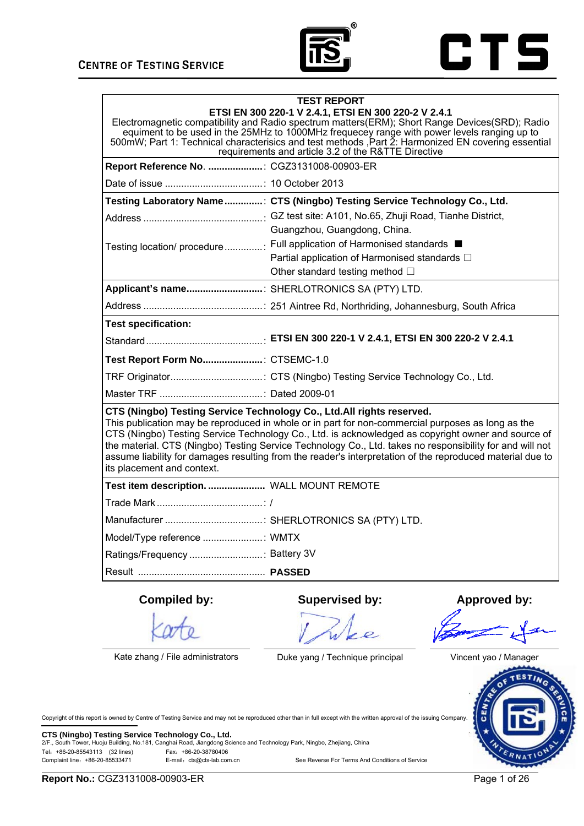



|                                                                                                                                                                                                                                                                                                                                                                                                                                                                                                                                         | <b>TEST REPORT</b><br>ETSI EN 300 220-1 V 2.4.1, ETSI EN 300 220-2 V 2.4.1<br>Electromagnetic compatibility and Radio spectrum matters(ERM); Short Range Devices(SRD); Radio<br>equiment to be used in the 25MHz to 1000MHz frequecey range with power levels ranging up to<br>500mW; Part 1: Technical characterisics and test methods , Part 2: Harmonized EN covering essential<br>requirements and article 3.2 of the R&TTE Directive |                     |
|-----------------------------------------------------------------------------------------------------------------------------------------------------------------------------------------------------------------------------------------------------------------------------------------------------------------------------------------------------------------------------------------------------------------------------------------------------------------------------------------------------------------------------------------|-------------------------------------------------------------------------------------------------------------------------------------------------------------------------------------------------------------------------------------------------------------------------------------------------------------------------------------------------------------------------------------------------------------------------------------------|---------------------|
| Report Reference No. : CGZ3131008-00903-ER                                                                                                                                                                                                                                                                                                                                                                                                                                                                                              |                                                                                                                                                                                                                                                                                                                                                                                                                                           |                     |
|                                                                                                                                                                                                                                                                                                                                                                                                                                                                                                                                         |                                                                                                                                                                                                                                                                                                                                                                                                                                           |                     |
|                                                                                                                                                                                                                                                                                                                                                                                                                                                                                                                                         | Testing Laboratory Name: CTS (Ningbo) Testing Service Technology Co., Ltd.                                                                                                                                                                                                                                                                                                                                                                |                     |
|                                                                                                                                                                                                                                                                                                                                                                                                                                                                                                                                         |                                                                                                                                                                                                                                                                                                                                                                                                                                           |                     |
|                                                                                                                                                                                                                                                                                                                                                                                                                                                                                                                                         | Guangzhou, Guangdong, China.                                                                                                                                                                                                                                                                                                                                                                                                              |                     |
|                                                                                                                                                                                                                                                                                                                                                                                                                                                                                                                                         | Testing location/ procedure  Full application of Harmonised standards ■<br>Partial application of Harmonised standards $\square$                                                                                                                                                                                                                                                                                                          |                     |
|                                                                                                                                                                                                                                                                                                                                                                                                                                                                                                                                         | Other standard testing method □                                                                                                                                                                                                                                                                                                                                                                                                           |                     |
| Applicant's name: SHERLOTRONICS SA (PTY) LTD.                                                                                                                                                                                                                                                                                                                                                                                                                                                                                           |                                                                                                                                                                                                                                                                                                                                                                                                                                           |                     |
|                                                                                                                                                                                                                                                                                                                                                                                                                                                                                                                                         |                                                                                                                                                                                                                                                                                                                                                                                                                                           |                     |
| <b>Test specification:</b>                                                                                                                                                                                                                                                                                                                                                                                                                                                                                                              |                                                                                                                                                                                                                                                                                                                                                                                                                                           |                     |
|                                                                                                                                                                                                                                                                                                                                                                                                                                                                                                                                         |                                                                                                                                                                                                                                                                                                                                                                                                                                           |                     |
| Test Report Form No: CTSEMC-1.0                                                                                                                                                                                                                                                                                                                                                                                                                                                                                                         |                                                                                                                                                                                                                                                                                                                                                                                                                                           |                     |
|                                                                                                                                                                                                                                                                                                                                                                                                                                                                                                                                         | TRF Originator: CTS (Ningbo) Testing Service Technology Co., Ltd.                                                                                                                                                                                                                                                                                                                                                                         |                     |
|                                                                                                                                                                                                                                                                                                                                                                                                                                                                                                                                         |                                                                                                                                                                                                                                                                                                                                                                                                                                           |                     |
| CTS (Ningbo) Testing Service Technology Co., Ltd.All rights reserved.<br>This publication may be reproduced in whole or in part for non-commercial purposes as long as the<br>CTS (Ningbo) Testing Service Technology Co., Ltd. is acknowledged as copyright owner and source of<br>the material. CTS (Ningbo) Testing Service Technology Co., Ltd. takes no responsibility for and will not<br>assume liability for damages resulting from the reader's interpretation of the reproduced material due to<br>its placement and context. |                                                                                                                                                                                                                                                                                                                                                                                                                                           |                     |
| Test item description.  WALL MOUNT REMOTE                                                                                                                                                                                                                                                                                                                                                                                                                                                                                               |                                                                                                                                                                                                                                                                                                                                                                                                                                           |                     |
|                                                                                                                                                                                                                                                                                                                                                                                                                                                                                                                                         |                                                                                                                                                                                                                                                                                                                                                                                                                                           |                     |
|                                                                                                                                                                                                                                                                                                                                                                                                                                                                                                                                         |                                                                                                                                                                                                                                                                                                                                                                                                                                           |                     |
| Model/Type reference : WMTX                                                                                                                                                                                                                                                                                                                                                                                                                                                                                                             |                                                                                                                                                                                                                                                                                                                                                                                                                                           |                     |
| Ratings/Frequency  Battery 3V                                                                                                                                                                                                                                                                                                                                                                                                                                                                                                           |                                                                                                                                                                                                                                                                                                                                                                                                                                           |                     |
|                                                                                                                                                                                                                                                                                                                                                                                                                                                                                                                                         |                                                                                                                                                                                                                                                                                                                                                                                                                                           |                     |
| <b>Compiled by:</b>                                                                                                                                                                                                                                                                                                                                                                                                                                                                                                                     | <b>Supervised by:</b>                                                                                                                                                                                                                                                                                                                                                                                                                     | <b>Approved by:</b> |

Kate zhang / File administrators Duke yang / Technique principal Vincent yao / Manager

Wee



Copyright of this report is owned by Centre of Testing Service and may not be reproduced other than in full except with the written approval of the issuing Company.

**CTS (Ningbo) Testing Service Technology Co., Ltd.** 2/F., South Tower, Huoju Building, No.181, Canghai Road, Jiangdong Science and Technology Park, Ningbo, Zhejiang, China Tel:+86-20-85543113 (32 lines) Fax:+86-20-38780406 See Reverse For Terms And Conditions of Service

**Report No.:** CGZ3131008-00903-ER Page 1 of 26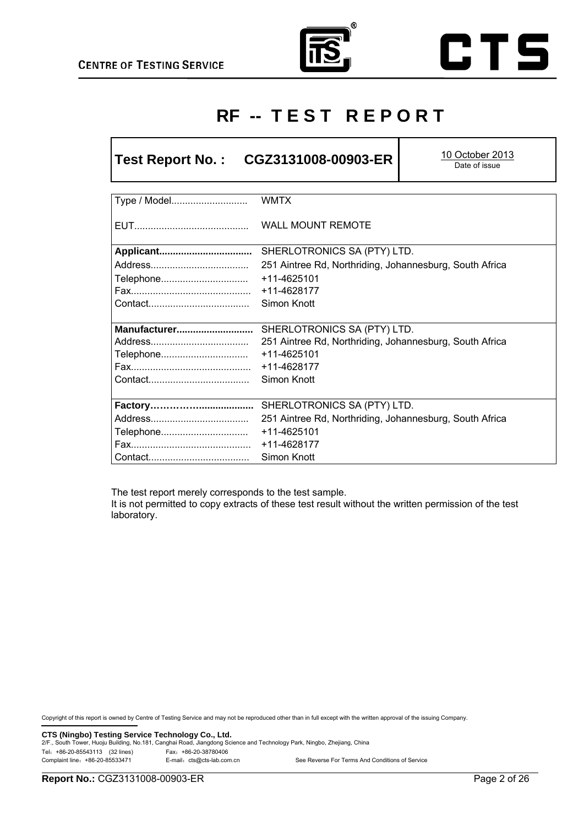Г





# **RF -- T E S T R E P O R T**

T

| CGZ3131008-00903-ER<br><b>Test Report No.:</b> | 10 October 2013<br>Date of issue                        |  |  |
|------------------------------------------------|---------------------------------------------------------|--|--|
| Type / Model                                   | <b>WMTX</b>                                             |  |  |
|                                                | <b>WALL MOUNT REMOTE</b>                                |  |  |
| Applicant                                      | SHERLOTRONICS SA (PTY) LTD.                             |  |  |
|                                                | 251 Aintree Rd, Northriding, Johannesburg, South Africa |  |  |
| Telephone<br>+11-4625101                       |                                                         |  |  |
| +11-4628177                                    |                                                         |  |  |
|                                                | Simon Knott                                             |  |  |
| Manufacturer                                   | SHERLOTRONICS SA (PTY) LTD.                             |  |  |
|                                                | 251 Aintree Rd, Northriding, Johannesburg, South Africa |  |  |
| Telephone                                      | +11-4625101                                             |  |  |
|                                                | +11-4628177                                             |  |  |
| Simon Knott                                    |                                                         |  |  |
|                                                |                                                         |  |  |
|                                                | SHERLOTRONICS SA (PTY) LTD.                             |  |  |
|                                                | 251 Aintree Rd, Northriding, Johannesburg, South Africa |  |  |
| Telephone                                      | +11-4625101                                             |  |  |
|                                                | +11-4628177                                             |  |  |
|                                                | Simon Knott                                             |  |  |

The test report merely corresponds to the test sample.

It is not permitted to copy extracts of these test result without the written permission of the test laboratory.

Copyright of this report is owned by Centre of Testing Service and may not be reproduced other than in full except with the written approval of the issuing Company.

**CTS (Ningbo) Testing Service Technology Co., Ltd.** 2/F., South Tower, Huoju Building, No.181, Canghai Road, Jiangdong Science and Technology Park, Ningbo, Zhejiang, China Tel:+86-20-85543113 (32 lines) Fax:+86-20-38780406 E-mail: cts@cts-lab.com.cn See Reverse For Terms And Conditions of Service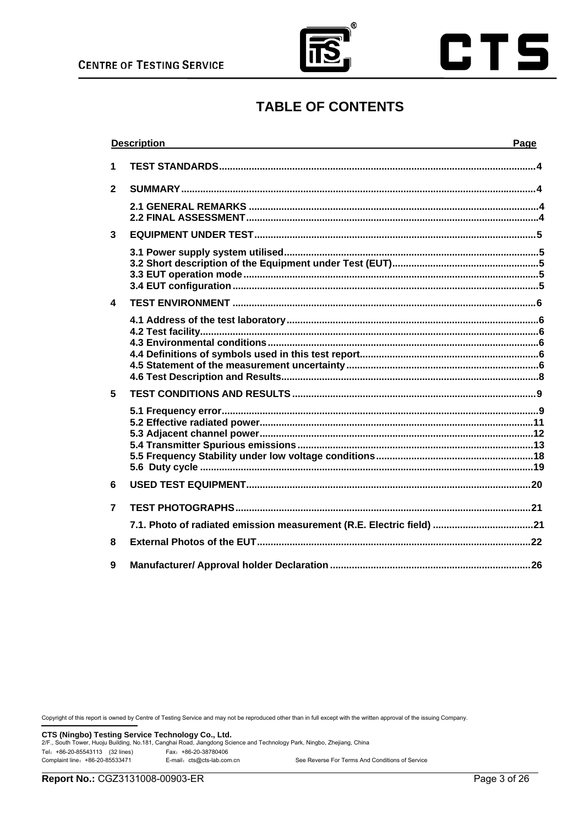



# **TABLE OF CONTENTS**

|                         | <b>Description</b>                                                   | Page |
|-------------------------|----------------------------------------------------------------------|------|
| 1                       |                                                                      |      |
| $\mathbf{2}$            |                                                                      |      |
|                         |                                                                      |      |
|                         |                                                                      |      |
| 3                       |                                                                      |      |
|                         |                                                                      |      |
|                         |                                                                      |      |
|                         |                                                                      |      |
| $\overline{\mathbf{4}}$ |                                                                      |      |
|                         |                                                                      |      |
|                         |                                                                      |      |
|                         |                                                                      |      |
|                         |                                                                      |      |
|                         |                                                                      |      |
| 5                       |                                                                      |      |
|                         |                                                                      |      |
|                         |                                                                      |      |
|                         |                                                                      |      |
|                         |                                                                      |      |
| 6                       |                                                                      |      |
|                         |                                                                      |      |
| 7                       |                                                                      |      |
|                         | 7.1. Photo of radiated emission measurement (R.E. Electric field) 21 |      |
| 8                       |                                                                      |      |
| 9                       |                                                                      |      |

Copyright of this report is owned by Centre of Testing Service and may not be reproduced other than in full except with the written approval of the issuing Company.

CTS (Ningbo) Testing Service Technology Co., Ltd.

2/F., South Tower, Huoju Building, No.181, Canghai Road, Jiangdong Science and Technology Park, Ningbo, Zhejiang, China Tel: +86-20-85543113 (32 lines) Fax: +86-20-38780406 Complaint line: +86-20-85533471 E-mail: cts@cts-lab.com.cn See Reverse For Terms And Conditions of Service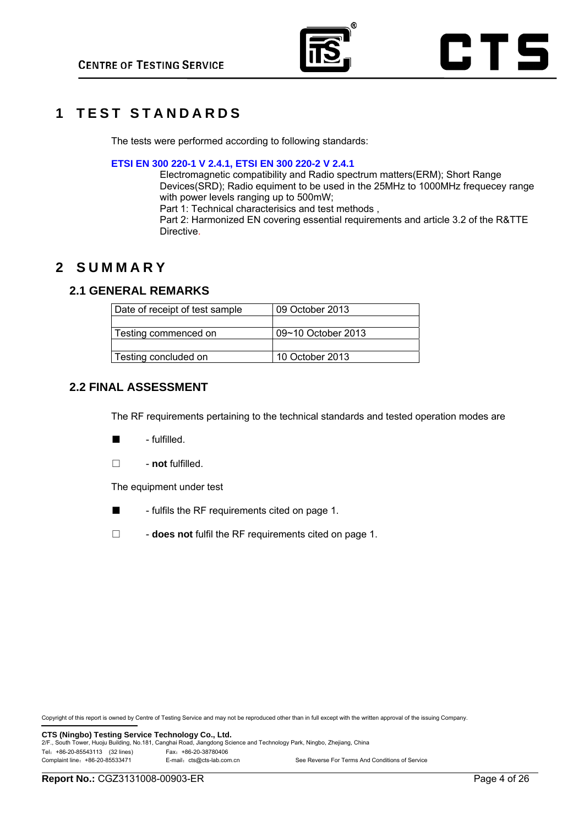

## **1 TEST STANDARDS**

The tests were performed according to following standards:

#### **ETSI EN 300 220-1 V 2.4.1, ETSI EN 300 220-2 V 2.4.1**

Electromagnetic compatibility and Radio spectrum matters(ERM); Short Range Devices(SRD); Radio equiment to be used in the 25MHz to 1000MHz frequecey range with power levels ranging up to 500mW;

Part 1: Technical characterisics and test methods ,

Part 2: Harmonized EN covering essential requirements and article 3.2 of the R&TTE Directive.

## **2 SUMMARY**

## **2.1 GENERAL REMARKS**

| Date of receipt of test sample | 09 October 2013    |
|--------------------------------|--------------------|
|                                |                    |
| Testing commenced on           | 09~10 October 2013 |
|                                |                    |
| Testing concluded on           | 10 October 2013    |
|                                |                    |

## **2.2 FINAL ASSESSMENT**

The RF requirements pertaining to the technical standards and tested operation modes are

- - fulfilled.
- □ **not** fulfilled.

The equipment under test

■ - fulfils the RF requirements cited on page 1.

□ - **does not** fulfil the RF requirements cited on page 1.

Copyright of this report is owned by Centre of Testing Service and may not be reproduced other than in full except with the written approval of the issuing Company.

**CTS (Ningbo) Testing Service Technology Co., Ltd.**<br>2/F., South Tower, Huoju Building, No.181, Canghai Road, Jiangdong Science and Technology Park, Ningbo, Zhejiang, China Tel:+86-20-85543113 (32 lines) Fax:+86-20-38780406 Complaint line: +86-20-85533471 E-mail: cts@cts-lab.com.cn See Reverse For Terms And Conditions of Service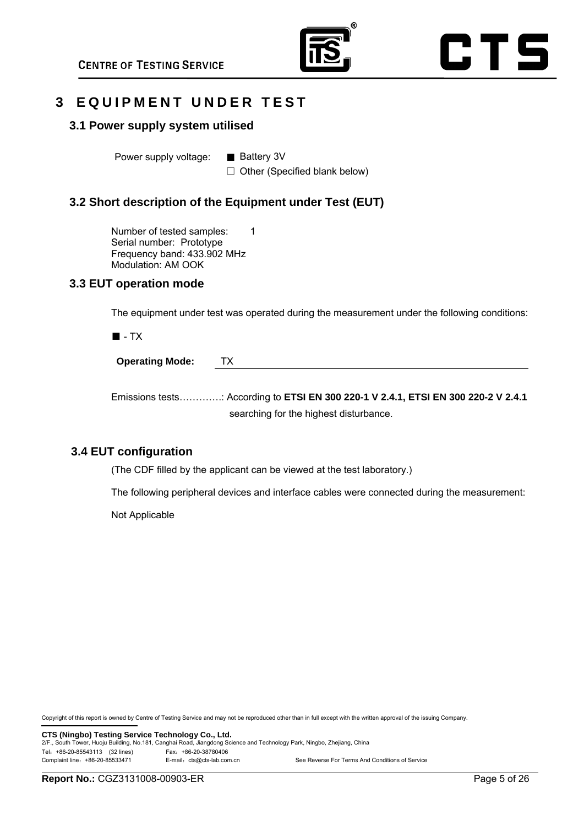



## **3 EQUIPMENT UNDER TEST**

#### **3.1 Power supply system utilised**

Power supply voltage: ■ Battery 3V

 $\Box$  Other (Specified blank below)

## **3.2 Short description of the Equipment under Test (EUT)**

Number of tested samples: 1 Serial number: Prototype Frequency band: 433.902 MHz Modulation: AM OOK

#### **3.3 EUT operation mode**

The equipment under test was operated during the measurement under the following conditions:

■ - TX

| <b>Operating Mode:</b> |
|------------------------|
|------------------------|

Emissions tests………….: According to **ETSI EN 300 220-1 V 2.4.1, ETSI EN 300 220-2 V 2.4.1** searching for the highest disturbance.

## **3.4 EUT configuration**

(The CDF filled by the applicant can be viewed at the test laboratory.)

The following peripheral devices and interface cables were connected during the measurement:

Not Applicable

Copyright of this report is owned by Centre of Testing Service and may not be reproduced other than in full except with the written approval of the issuing Company.

**CTS (Ningbo) Testing Service Technology Co., Ltd.** 2015 Contology Co., Ltd. 2/F., South Tower, Ningbo, Zhejiang, China Tel:+86-20-85543113 (32 lines) Fax:+86-20-38780406 Complaint line: +86-20-85533471 E-mail: cts@cts-lab.com.cn See Reverse For Terms And Conditions of Service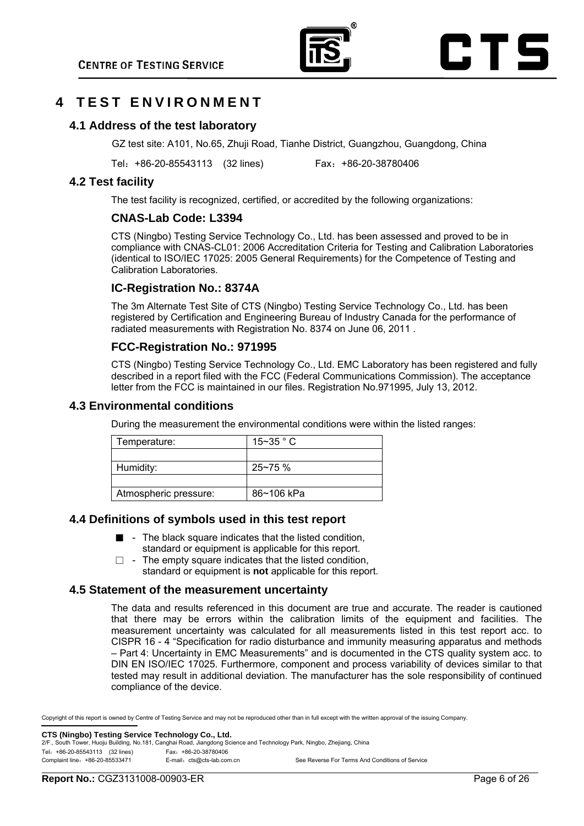

## **4 T E S T E N V I R O N M E N T**

### **4.1 Address of the test laboratory**

GZ test site: A101, No.65, Zhuji Road, Tianhe District, Guangzhou, Guangdong, China

Tel:+86-20-85543113 (32 lines) Fax:+86-20-38780406

#### **4.2 Test facility**

The test facility is recognized, certified, or accredited by the following organizations:

## **CNAS-Lab Code: L3394**

CTS (Ningbo) Testing Service Technology Co., Ltd. has been assessed and proved to be in compliance with CNAS-CL01: 2006 Accreditation Criteria for Testing and Calibration Laboratories (identical to ISO/IEC 17025: 2005 General Requirements) for the Competence of Testing and Calibration Laboratories.

## **IC-Registration No.: 8374A**

The 3m Alternate Test Site of CTS (Ningbo) Testing Service Technology Co., Ltd. has been registered by Certification and Engineering Bureau of Industry Canada for the performance of radiated measurements with Registration No. 8374 on June 06, 2011 .

## **FCC-Registration No.: 971995**

CTS (Ningbo) Testing Service Technology Co., Ltd. EMC Laboratory has been registered and fully described in a report filed with the FCC (Federal Communications Commission). The acceptance letter from the FCC is maintained in our files. Registration No.971995, July 13, 2012.

#### **4.3 Environmental conditions**

During the measurement the environmental conditions were within the listed ranges:

| Temperature:          | $15 - 35$ ° C |
|-----------------------|---------------|
|                       |               |
| Humidity:             | $25 - 75$ %   |
|                       |               |
| Atmospheric pressure: | 86~106 kPa    |

#### **4.4 Definitions of symbols used in this test report**

- - The black square indicates that the listed condition. standard or equipment is applicable for this report.
- $\Box$  The empty square indicates that the listed condition, standard or equipment is **not** applicable for this report.

#### **4.5 Statement of the measurement uncertainty**

The data and results referenced in this document are true and accurate. The reader is cautioned that there may be errors within the calibration limits of the equipment and facilities. The measurement uncertainty was calculated for all measurements listed in this test report acc. to CISPR 16 - 4 "Specification for radio disturbance and immunity measuring apparatus and methods – Part 4: Uncertainty in EMC Measurements" and is documented in the CTS quality system acc. to DIN EN ISO/IEC 17025. Furthermore, component and process variability of devices similar to that tested may result in additional deviation. The manufacturer has the sole responsibility of continued compliance of the device.

Copyright of this report is owned by Centre of Testing Service and may not be reproduced other than in full except with the written approval of the issuing Company.

**CTS (Ningbo) Testing Service Technology Co., Ltd.**<br>2/F., South Tower, Huoju Building, No.181, Canghai Road, Jiangdong Science and Technology Park, Ningbo, Zhejiang, China Tel:+86-20-85543113 (32 lines) Fax:+86-20-38780406 Complaint line: +86-20-85533471 E-mail: cts@cts-lab.com.cn See Reverse For Terms And Conditions of Service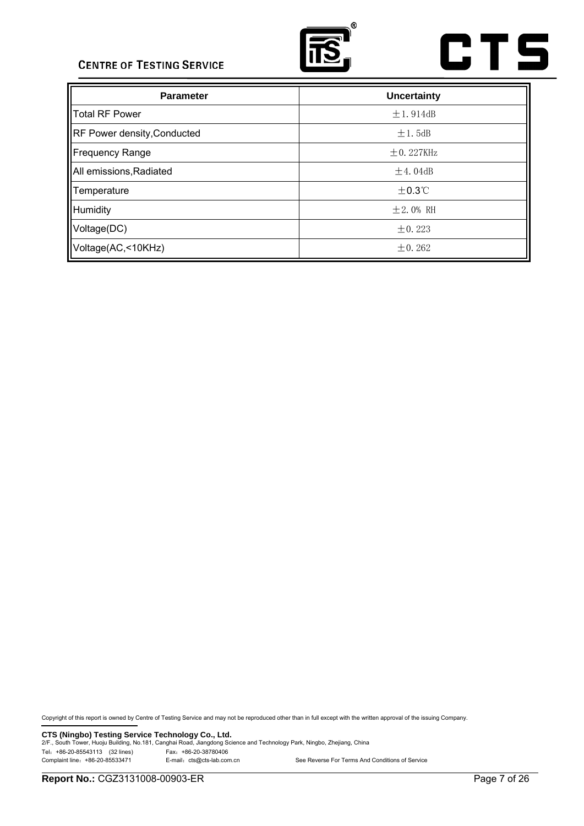

# **CTS**

| <b>Parameter</b>                   | <b>Uncertainty</b> |
|------------------------------------|--------------------|
| Total RF Power                     | $\pm 1.914$ dB     |
| <b>RF Power density, Conducted</b> | $\pm 1.5$ dB       |
| Frequency Range                    | $+0.227$ KHz       |
| All emissions, Radiated            | $\pm 4.04$ dB      |
| Temperature                        | $+0.3$ °C          |
| Humidity                           | $\pm 2.0\%$ RH     |
| Voltage(DC)                        | $\pm 0.223$        |
| Voltage(AC,<10KHz)                 | $\pm 0.262$        |

Copyright of this report is owned by Centre of Testing Service and may not be reproduced other than in full except with the written approval of the issuing Company.

**CTS (Ningbo) Testing Service Technology Co., Ltd.** 2/F., South Tower, Huoju Building, No.181, Canghai Road, Jiangdong Science and Technology Park, Ningbo, Zhejiang, China Tel: +86-20-85543113 (32 lines)<br>
Complaint line: +86-20-85533471 E-mail: cts@cts-lab.com.cn See Reverse For Terms And Conditions of Service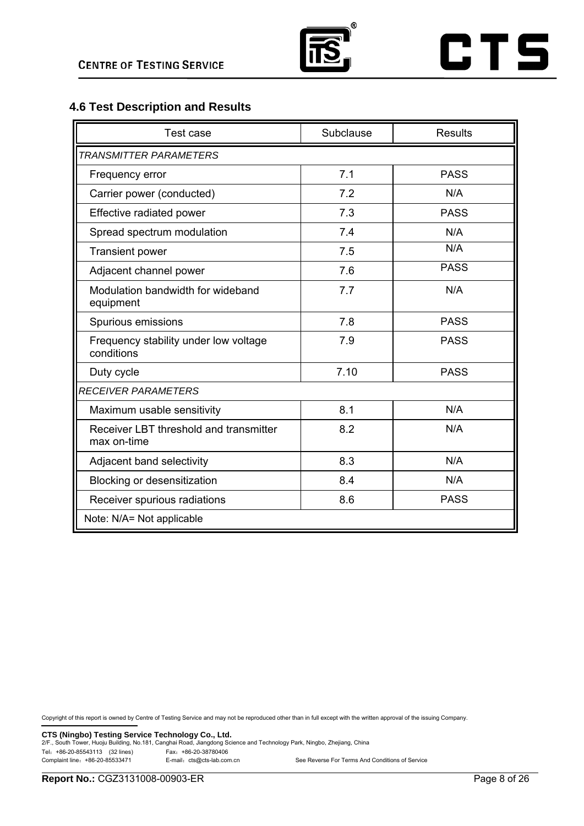

## **4.6 Test Description and Results**

| Test case                                             | Subclause | <b>Results</b> |
|-------------------------------------------------------|-----------|----------------|
| <b>TRANSMITTER PARAMETERS</b>                         |           |                |
| Frequency error                                       | 7.1       | <b>PASS</b>    |
| Carrier power (conducted)                             | 7.2       | N/A            |
| Effective radiated power                              | 7.3       | <b>PASS</b>    |
| Spread spectrum modulation                            | 7.4       | N/A            |
| <b>Transient power</b>                                | 7.5       | N/A            |
| Adjacent channel power                                | 7.6       | <b>PASS</b>    |
| Modulation bandwidth for wideband<br>equipment        | 7.7       | N/A            |
| Spurious emissions                                    | 7.8       | <b>PASS</b>    |
| Frequency stability under low voltage<br>conditions   | 7.9       | <b>PASS</b>    |
| Duty cycle                                            | 7.10      | <b>PASS</b>    |
| <b>RECEIVER PARAMETERS</b>                            |           |                |
| Maximum usable sensitivity                            | 8.1       | N/A            |
| Receiver LBT threshold and transmitter<br>max on-time | 8.2       | N/A            |
| Adjacent band selectivity                             | 8.3       | N/A            |
| <b>Blocking or desensitization</b>                    | 8.4       | N/A            |
| Receiver spurious radiations                          | 8.6       | <b>PASS</b>    |
| Note: N/A= Not applicable                             |           |                |

Copyright of this report is owned by Centre of Testing Service and may not be reproduced other than in full except with the written approval of the issuing Company.

**CTS (Ningbo) Testing Service Technology Co., Ltd.** 2/F., South Tower, Huoju Building, No.181, Canghai Road, Jiangdong Science and Technology Park, Ningbo, Zhejiang, China Tel:+86-20-85543113 (32 lines) Fax:+86-20-38780406 See Reverse For Terms And Conditions of Service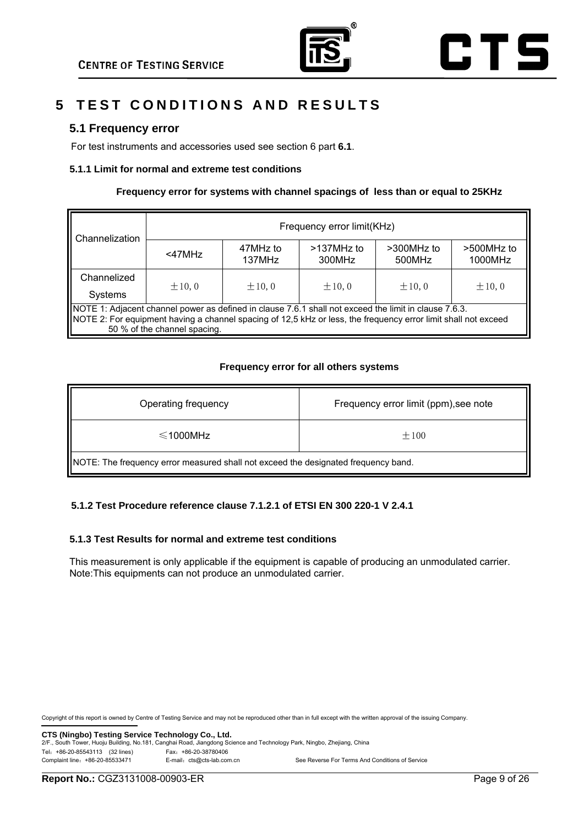

# **5 TEST CONDITIONS AND RESULTS**

## **5.1 Frequency error**

For test instruments and accessories used see section 6 part **6.1**.

#### **5.1.1 Limit for normal and extreme test conditions**

#### **Frequency error for systems with channel spacings of less than or equal to 25KHz**

| Channelization                                                                                                                                                                                                                                          | Frequency error limit(KHz) |                    |                         |                      |                       |
|---------------------------------------------------------------------------------------------------------------------------------------------------------------------------------------------------------------------------------------------------------|----------------------------|--------------------|-------------------------|----------------------|-----------------------|
|                                                                                                                                                                                                                                                         | <47MHz                     | 47MHz to<br>137MHz | $>137$ MHz to<br>300MHz | >300MHz to<br>500MHz | >500MHz to<br>1000MHz |
| Channelized                                                                                                                                                                                                                                             | $\pm 10, 0$                | $\pm 10.0$         | $\pm 10.0$              | $\pm 10.0$           | $\pm 10, 0$           |
| Systems                                                                                                                                                                                                                                                 |                            |                    |                         |                      |                       |
| NOTE 1: Adjacent channel power as defined in clause 7.6.1 shall not exceed the limit in clause 7.6.3.<br>NOTE 2: For equipment having a channel spacing of 12,5 kHz or less, the frequency error limit shall not exceed<br>50 % of the channel spacing. |                            |                    |                         |                      |                       |

#### **Frequency error for all others systems**

| Operating frequency                                                                | Frequency error limit (ppm), see note |  |
|------------------------------------------------------------------------------------|---------------------------------------|--|
| $\leq$ 1000MHz                                                                     | $\pm 100$                             |  |
| NOTE: The frequency error measured shall not exceed the designated frequency band. |                                       |  |

#### **5.1.2 Test Procedure reference clause 7.1.2.1 of ETSI EN 300 220-1 V 2.4.1**

#### **5.1.3 Test Results for normal and extreme test conditions**

This measurement is only applicable if the equipment is capable of producing an unmodulated carrier. Note:This equipments can not produce an unmodulated carrier.

Copyright of this report is owned by Centre of Testing Service and may not be reproduced other than in full except with the written approval of the issuing Company.

**CTS (Ningbo) Testing Service Technology Co., Ltd.**<br>2/F., South Tower, Huoju Building, No.181, Canghai Road, Jiangdong Science and Technology Park, Ningbo, Zhejiang, China Tel:+86-20-85543113 (32 lines) Fax:+86-20-38780406 Complaint line: +86-20-85533471 E-mail: cts@cts-lab.com.cn See Reverse For Terms And Conditions of Service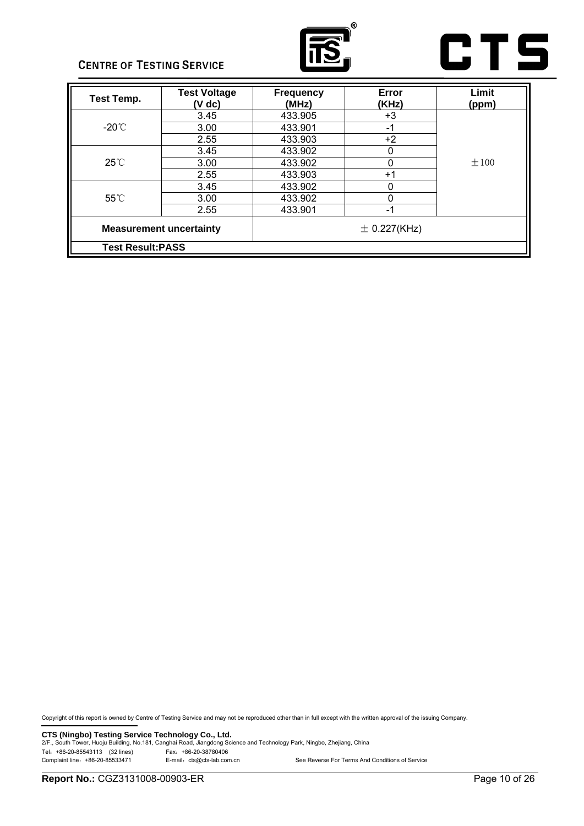



| <b>Test Temp.</b> | <b>Test Voltage</b><br>(V dc)                      | <b>Frequency</b><br>(MHz) | Error<br>(KHz) | Limit<br>(ppm) |
|-------------------|----------------------------------------------------|---------------------------|----------------|----------------|
|                   | 3.45                                               | 433.905                   | +3             |                |
| -20 $^{\circ}$ C  | 3.00                                               | 433.901                   | -1             |                |
|                   | 2.55                                               | 433.903                   | $+2$           |                |
|                   | 3.45                                               | 433.902                   | 0              |                |
| $25^{\circ}$ C    | 3.00                                               | 433.902                   | 0              | $\pm 100$      |
|                   | 2.55                                               | 433.903                   | $+1$           |                |
|                   | 3.45                                               | 433.902                   | 0              |                |
| $55^{\circ}$ C    | 3.00                                               | 433.902                   | 0              |                |
|                   | 2.55                                               | 433.901                   | $-1$           |                |
|                   | <b>Measurement uncertainty</b><br>$\pm$ 0.227(KHz) |                           |                |                |
|                   | <b>Test Result: PASS</b>                           |                           |                |                |

Copyright of this report is owned by Centre of Testing Service and may not be reproduced other than in full except with the written approval of the issuing Company.

**CTS (Ningbo) Testing Service Technology Co., Ltd.** 2/F., South Tower, Huoju Building, No.181, Canghai Road, Jiangdong Science and Technology Park, Ningbo, Zhejiang, China Tel: +86-20-85543113 (32 lines)<br>
Complaint line: +86-20-85533471 E-mail: cts@cts-lab.com.cn See Reverse For Terms And Conditions of Service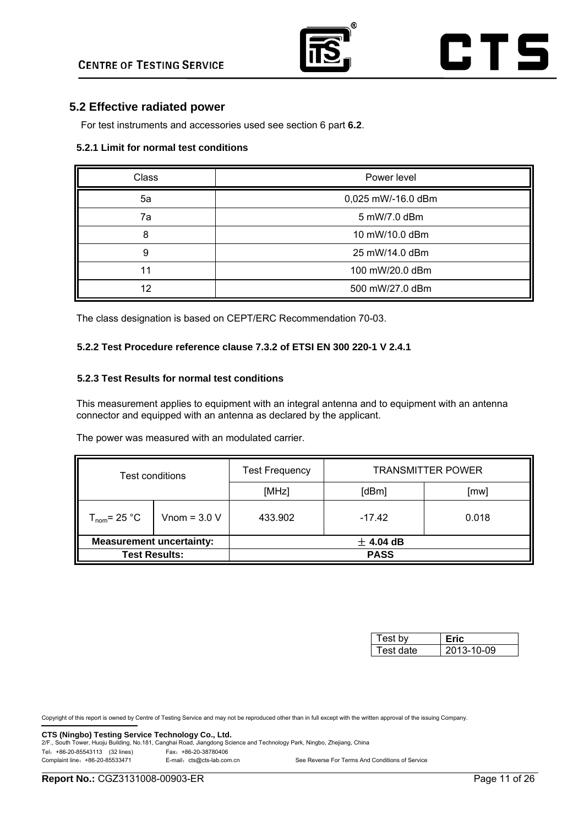

## **5.2 Effective radiated power**

For test instruments and accessories used see section 6 part **6.2**.

#### **5.2.1 Limit for normal test conditions**

| Class | Power level        |
|-------|--------------------|
| 5a    | 0,025 mW/-16.0 dBm |
| 7a    | 5 mW/7.0 dBm       |
| 8     | 10 mW/10.0 dBm     |
| 9     | 25 mW/14.0 dBm     |
| 11    | 100 mW/20.0 dBm    |
| 12    | 500 mW/27.0 dBm    |

The class designation is based on CEPT/ERC Recommendation 70-03.

#### **5.2.2 Test Procedure reference clause 7.3.2 of ETSI EN 300 220-1 V 2.4.1**

#### **5.2.3 Test Results for normal test conditions**

This measurement applies to equipment with an integral antenna and to equipment with an antenna connector and equipped with an antenna as declared by the applicant.

The power was measured with an modulated carrier.

| Test conditions                 |                | <b>Test Frequency</b> | <b>TRANSMITTER POWER</b> |       |  |
|---------------------------------|----------------|-----------------------|--------------------------|-------|--|
|                                 |                | [MHz]                 | [dBm]                    | [mw]  |  |
| $T_{\text{nom}}$ = 25 °C        | Vnom = $3.0 V$ | 433.902               | $-17.42$                 | 0.018 |  |
| <b>Measurement uncertainty:</b> |                | $±$ 4.04 dB           |                          |       |  |
| <b>Test Results:</b>            |                | <b>PASS</b>           |                          |       |  |

| Test hv   |            |
|-----------|------------|
| Test date | 2013-10-09 |

Copyright of this report is owned by Centre of Testing Service and may not be reproduced other than in full except with the written approval of the issuing Company.

**CTS (Ningbo) Testing Service Technology Co., Ltd.**<br>2/F., South Tower, Huoju Building, No.181, Canghai Road, Jiangdong Science and Technology Park, Ningbo, Zhejiang, China Tel:+86-20-85543113 (32 lines) Fax:+86-20-38780406

Complaint line: +86-20-85533471 E-mail: cts@cts-lab.com.cn See Reverse For Terms And Conditions of Service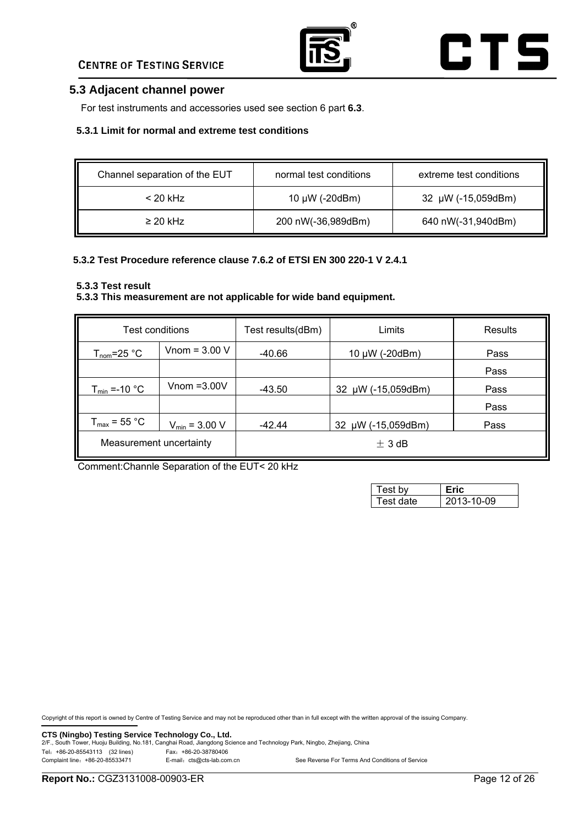

## **5.3 Adjacent channel power**

For test instruments and accessories used see section 6 part **6.3**.

#### **5.3.1 Limit for normal and extreme test conditions**

| Channel separation of the EUT | normal test conditions | extreme test conditions |
|-------------------------------|------------------------|-------------------------|
| $<$ 20 kHz                    | 10 $\mu$ W (-20dBm)    | 32 µW (-15,059dBm)      |
| $\geq$ 20 kHz                 | 200 nW(-36,989dBm)     | 640 nW(-31,940dBm)      |

#### **5.3.2 Test Procedure reference clause 7.6.2 of ETSI EN 300 220-1 V 2.4.1**

#### **5.3.3 Test result**

#### **5.3.3 This measurement are not applicable for wide band equipment.**

| Test conditions          |                           | Test results(dBm)            | Limits             | Results |
|--------------------------|---------------------------|------------------------------|--------------------|---------|
| $T_{\text{nom}}$ =25 °C  | Vnom = $3.00$ V           |                              | 10 μW (-20dBm)     | Pass    |
|                          |                           |                              |                    | Pass    |
| $T_{min}$ =-10 °C        | Vnom $=3.00V$             | -43.50                       | 32 µW (-15,059dBm) | Pass    |
|                          |                           |                              |                    | Pass    |
| $T_{\text{max}}$ = 55 °C | $V_{\text{min}} = 3.00 V$ | 32 µW (-15,059dBm)<br>-42.44 |                    | Pass    |
| Measurement uncertainty  |                           | $\pm$ 3 dB                   |                    |         |

Comment:Channle Separation of the EUT< 20 kHz

| Test bv    |            |
|------------|------------|
| Test date. | 2013-10-09 |

Copyright of this report is owned by Centre of Testing Service and may not be reproduced other than in full except with the written approval of the issuing Company.

**CTS (Ningbo) Testing Service Technology Co., Ltd.** 2/F., South Tower, Huoju Building, No.181, Canghai Road, Jiangdong Science and Technology Park, Ningbo, Zhejiang, China Tel: +86-20-85543113 (32 lines)<br>Complaint line: +86-20-85533471 E-mail: cts@cts-lab.com

E-mail: cts@cts-lab.com.cn See Reverse For Terms And Conditions of Service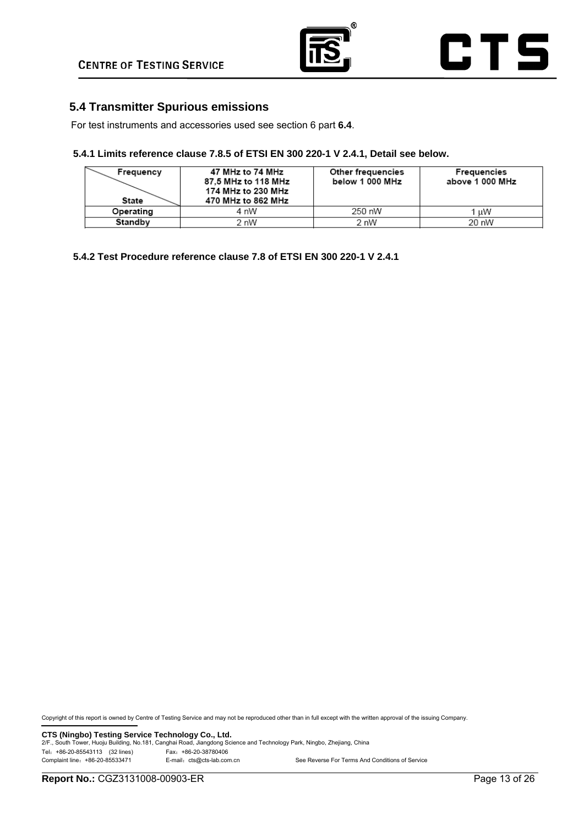

## **5.4 Transmitter Spurious emissions**

For test instruments and accessories used see section 6 part **6.4**.

#### **5.4.1 Limits reference clause 7.8.5 of ETSI EN 300 220-1 V 2.4.1, Detail see below.**

| Frequency<br><b>State</b> | 47 MHz to 74 MHz<br>87.5 MHz to 118 MHz<br>174 MHz to 230 MHz<br>470 MHz to 862 MHz | Other frequencies<br>below 1 000 MHz | Frequencies<br>above 1 000 MHz |  |
|---------------------------|-------------------------------------------------------------------------------------|--------------------------------------|--------------------------------|--|
| Operating                 | 4 nW                                                                                | 250 nW                               | 1 uW                           |  |
| Standby                   | 2 nW                                                                                | 2 nW                                 | 20 nW                          |  |

**5.4.2 Test Procedure reference clause 7.8 of ETSI EN 300 220-1 V 2.4.1** 

Copyright of this report is owned by Centre of Testing Service and may not be reproduced other than in full except with the written approval of the issuing Company.

**CTS (Ningbo) Testing Service Technology Co., Ltd.** 2/F., South Tower, Huoju Building, No.181, Canghai Road, Jiangdong Science and Technology Park, Ningbo, Zhejiang, China Tel: +86-20-85543113 (32 lines)<br>Complaint line: +86-20-85533471 E-mail: cts@cts-lab.com E-mail: cts@cts-lab.com.cn See Reverse For Terms And Conditions of Service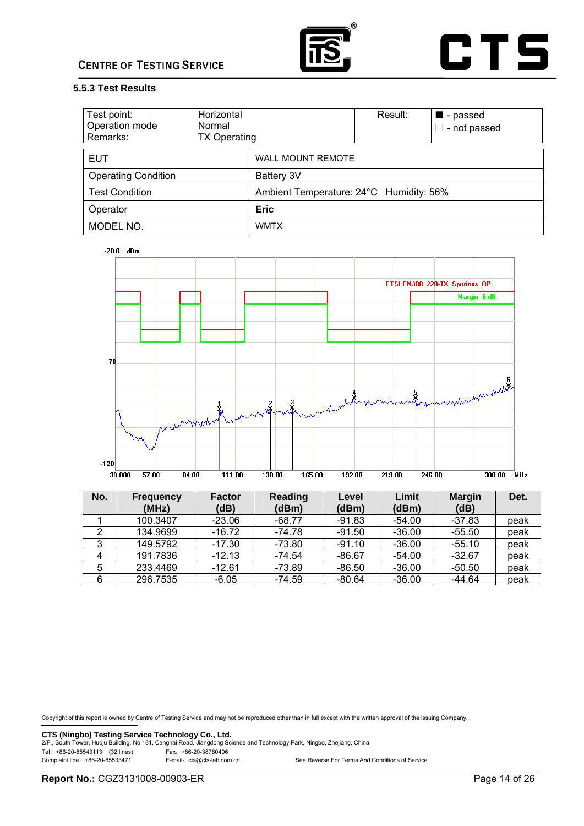



#### **5.5.3 Test Results**

| Test point:<br>Operation mode<br>Remarks: | Horizontal<br>Normal<br><b>TX Operating</b> |                                         | Result: | ■ - passed<br>- not passed |
|-------------------------------------------|---------------------------------------------|-----------------------------------------|---------|----------------------------|
| <b>EUT</b>                                |                                             | <b>WALL MOUNT REMOTE</b>                |         |                            |
| <b>Operating Condition</b>                |                                             | Battery 3V                              |         |                            |
| <b>Test Condition</b>                     |                                             | Ambient Temperature: 24°C Humidity: 56% |         |                            |
| Operator                                  |                                             | <b>Eric</b>                             |         |                            |
| MODEL NO.                                 |                                             | <b>WMTX</b>                             |         |                            |



| No. | <b>Frequency</b><br>(MHz) | <b>Factor</b><br>(dB) | <b>Reading</b><br>(dBm) | Level<br>(dBm) | Limit<br>(dBm) | <b>Margin</b><br>(dB) | Det. |
|-----|---------------------------|-----------------------|-------------------------|----------------|----------------|-----------------------|------|
|     | 100.3407                  | $-23.06$              | $-68.77$                | -91.83         | $-54.00$       | $-37.83$              | peak |
|     | 134.9699                  | $-16.72$              | $-74.78$                | $-91.50$       | $-36.00$       | $-55.50$              | peak |
| 3   | 149.5792                  | -17.30                | $-73.80$                | $-91.10$       | $-36.00$       | $-55.10$              | peak |
|     | 191.7836                  | $-12.13$              | $-74.54$                | $-86.67$       | $-54.00$       | $-32.67$              | peak |
| 5   | 233.4469                  | $-12.61$              | $-73.89$                | $-86.50$       | $-36.00$       | $-50.50$              | peak |
| 6   | 296.7535                  | $-6.05$               | $-74.59$                | -80.64         | $-36.00$       | $-44.64$              | peak |

Copyright of this report is owned by Centre of Testing Service and may not be reproduced other than in full except with the written approval of the issuing Company.

**CTS (Ningbo) Testing Service Technology Co., Ltd.** 2/F., South Tower, Huoju Building, No.181, Canghai Road, Jiangdong Science and Technology Park, Ningbo, Zhejiang, China Tel: +86-20-85543113 (32 lines)<br>
Complaint line: +86-20-85533471 E-mail: cts@cts-lab.com.cn

See Reverse For Terms And Conditions of Service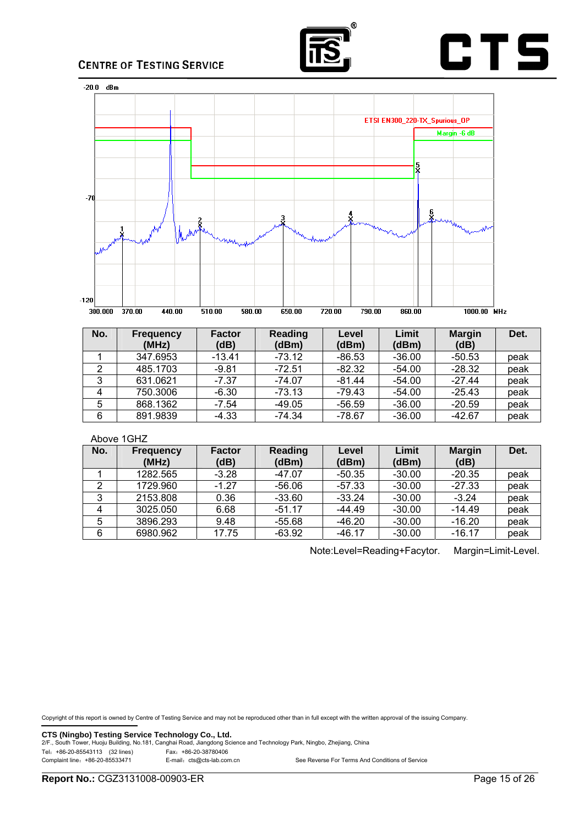





| No. | <b>Frequency</b><br>(MHz) | <b>Factor</b><br>(dB) | Reading<br>(dBm) | Level<br>(dBm) | Limit<br>(dBm) | <b>Margin</b><br>(dB) | Det. |
|-----|---------------------------|-----------------------|------------------|----------------|----------------|-----------------------|------|
|     | 347.6953                  | $-13.41$              | $-73.12$         | $-86.53$       | $-36.00$       | $-50.53$              | peak |
| 2   | 485.1703                  | $-9.81$               | -72.51           | $-82.32$       | $-54.00$       | $-28.32$              | peak |
| 3   | 631.0621                  | $-7.37$               | $-74.07$         | $-81.44$       | $-54.00$       | $-27.44$              | peak |
| 4   | 750.3006                  | $-6.30$               | $-73.13$         | $-79.43$       | $-54.00$       | $-25.43$              | peak |
| 5   | 868.1362                  | $-7.54$               | $-49.05$         | $-56.59$       | $-36.00$       | $-20.59$              | peak |
| 6   | 891.9839                  | -4.33                 | $-74.34$         | $-78.67$       | $-36.00$       | $-42.67$              | peak |

#### Above 1GHZ

| No. | Frequency<br>(MHz) | <b>Factor</b><br>(dB) | Reading<br>(dBm) | Level<br>(dBm) | Limit<br>(dBm) | <b>Margin</b><br>(dB) | Det. |
|-----|--------------------|-----------------------|------------------|----------------|----------------|-----------------------|------|
|     | 1282.565           | $-3.28$               | $-47.07$         | -50.35         | $-30.00$       | $-20.35$              | peak |
| 2   | 1729.960           | $-1.27$               | $-56.06$         | $-57.33$       | $-30.00$       | $-27.33$              | peak |
| 3   | 2153.808           | 0.36                  | $-33.60$         | $-33.24$       | $-30.00$       | $-3.24$               | peak |
| 4   | 3025.050           | 6.68                  | $-51.17$         | $-44.49$       | $-30.00$       | $-14.49$              | peak |
| 5   | 3896.293           | 9.48                  | $-55.68$         | $-46.20$       | $-30.00$       | $-16.20$              | peak |
| 6   | 6980.962           | 17.75                 | $-63.92$         | $-46.17$       | $-30.00$       | $-16.17$              | peak |

Note:Level=Reading+Facytor. Margin=Limit-Level.

Copyright of this report is owned by Centre of Testing Service and may not be reproduced other than in full except with the written approval of the issuing Company.

**CTS (Ningbo) Testing Service Technology Co., Ltd.** 2/F., South Tower, Huoju Building, No.181, Canghai Road, Jiangdong Science and Technology Park, Ningbo, Zhejiang, China Tel:+86-20-85543113 (32 lines) Fax:+86-20-38780406

See Reverse For Terms And Conditions of Service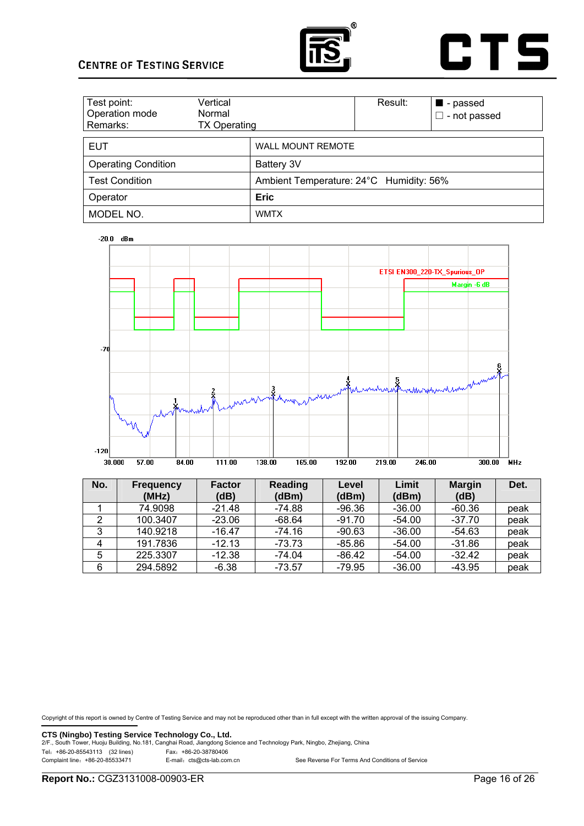



| Test point:<br>Operation mode<br>Remarks: | Vertical<br>Normal<br><b>TX Operating</b> |                                         | Result: | $\blacksquare$ - passed<br>$\square$ - not passed |
|-------------------------------------------|-------------------------------------------|-----------------------------------------|---------|---------------------------------------------------|
| <b>EUT</b>                                |                                           | <b>WALL MOUNT REMOTE</b>                |         |                                                   |
| <b>Operating Condition</b>                |                                           | Battery 3V                              |         |                                                   |
| <b>Test Condition</b>                     |                                           | Ambient Temperature: 24°C Humidity: 56% |         |                                                   |
| Operator                                  |                                           | <b>Eric</b>                             |         |                                                   |
| MODEL NO.                                 |                                           | <b>WMTX</b>                             |         |                                                   |





| No. | <b>Frequency</b><br>(MHz) | <b>Factor</b><br>(dB) | Reading<br>(dBm) | Level<br>(dBm) | Limit<br>(dBm) | <b>Margin</b><br>(dB) | Det. |
|-----|---------------------------|-----------------------|------------------|----------------|----------------|-----------------------|------|
|     | 74.9098                   | $-21.48$              | $-74.88$         | $-96.36$       | $-36.00$       | $-60.36$              | peak |
| 2   | 100.3407                  | $-23.06$              | $-68.64$         | $-91.70$       | $-54.00$       | $-37.70$              | peak |
| 3   | 140.9218                  | $-16.47$              | $-74.16$         | $-90.63$       | $-36.00$       | $-54.63$              | peak |
| 4   | 191.7836                  | $-12.13$              | $-73.73$         | $-85.86$       | $-54.00$       | $-31.86$              | peak |
| 5   | 225.3307                  | $-12.38$              | $-74.04$         | $-86.42$       | $-54.00$       | $-32.42$              | peak |
| 6   | 294.5892                  | -6.38                 | $-73.57$         | $-79.95$       | $-36.00$       | $-43.95$              | peak |

Copyright of this report is owned by Centre of Testing Service and may not be reproduced other than in full except with the written approval of the issuing Company.

**CTS (Ningbo) Testing Service Technology Co., Ltd.** 2/F., South Tower, Huoju Building, No.181, Canghai Road, Jiangdong Science and Technology Park, Ningbo, Zhejiang, China Tel: +86-20-85543113 (32 lines)<br>
Complaint line: +86-20-85533471 E-mail: cts@cts-lab.com.cn

See Reverse For Terms And Conditions of Service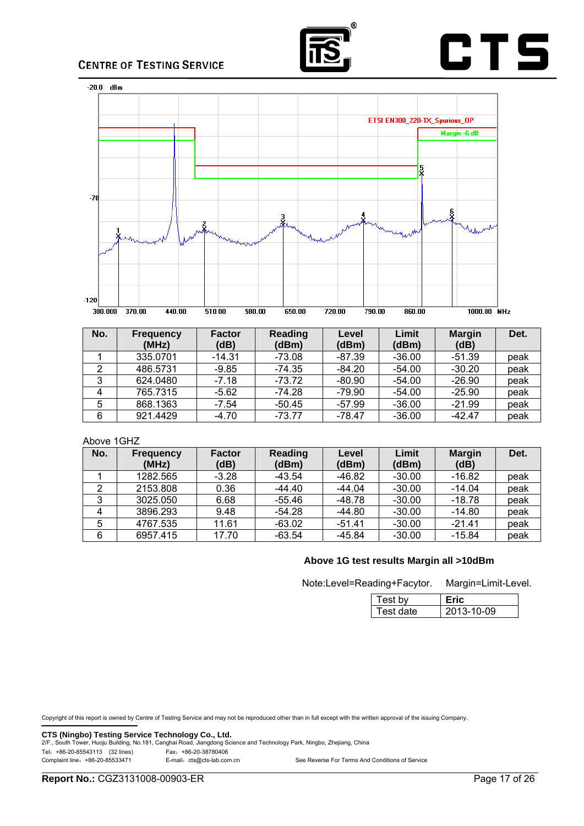





| No. | <b>Frequency</b><br>(MHz) | <b>Factor</b><br>(dB) | <b>Reading</b><br>(dBm) | Level<br>(dBm) | Limit<br>(dBm) | <b>Margin</b><br>(dB) | Det. |
|-----|---------------------------|-----------------------|-------------------------|----------------|----------------|-----------------------|------|
|     | 335.0701                  | $-14.31$              | -73.08                  | -87.39         | $-36.00$       | -51.39                | peak |
| 2   | 486.5731                  | -9.85                 | $-74.35$                | $-84.20$       | $-54.00$       | $-30.20$              | peak |
| 3   | 624.0480                  | $-7.18$               | $-73.72$                | $-80.90$       | $-54.00$       | $-26.90$              | peak |
| 4   | 765.7315                  | $-5.62$               | $-74.28$                | $-79.90$       | $-54.00$       | $-25.90$              | peak |
| 5   | 868.1363                  | $-7.54$               | $-50.45$                | -57.99         | $-36.00$       | $-21.99$              | peak |
| 6   | 921.4429                  | -4.70                 | $-73.77$                | -78.47         | $-36.00$       | $-42.47$              | peak |

#### Above 1GHZ

| No. | <b>Frequency</b> | <b>Factor</b> | Reading  | Level    | Limit    | <b>Margin</b> | Det. |
|-----|------------------|---------------|----------|----------|----------|---------------|------|
|     | (MHz)            | (dB)          | (dBm)    | (dBm)    | (dBm)    | (dB)          |      |
|     | 1282.565         | $-3.28$       | $-43.54$ | -46.82   | $-30.00$ | $-16.82$      | peak |
| າ   | 2153.808         | 0.36          | $-44.40$ | -44.04   | $-30.00$ | $-14.04$      | peak |
| 3   | 3025.050         | 6.68          | $-55.46$ | $-48.78$ | $-30.00$ | $-18.78$      | peak |
|     | 3896.293         | 9.48          | $-54.28$ | $-44.80$ | $-30.00$ | $-14.80$      | peak |
| 5   | 4767.535         | 11.61         | $-63.02$ | $-51.41$ | $-30.00$ | $-21.41$      | peak |
| 6   | 6957.415         | 17.70         | $-63.54$ | $-45.84$ | $-30.00$ | $-15.84$      | peak |

#### **Above 1G test results Margin all >10dBm**

Note:Level=Reading+Facytor. Margin=Limit-Level.

|--|

| Test bv   |            |
|-----------|------------|
| Test date | 2013-10-09 |

Copyright of this report is owned by Centre of Testing Service and may not be reproduced other than in full except with the written approval of the issuing Company.

**CTS (Ningbo) Testing Service Technology Co., Ltd.** 2/F., South Tower, Huoju Building, No.181, Canghai Road, Jiangdong Science and Technology Park, Ningbo, Zhejiang, China Tel:+86-20-85543113 (32 lines) Fax:+86-20-38780406

| Complaint line: +86-20-85533471 | E-mail: cts@cts-lab.com.cn | See Reverse For Terms And Conditions of Service |
|---------------------------------|----------------------------|-------------------------------------------------|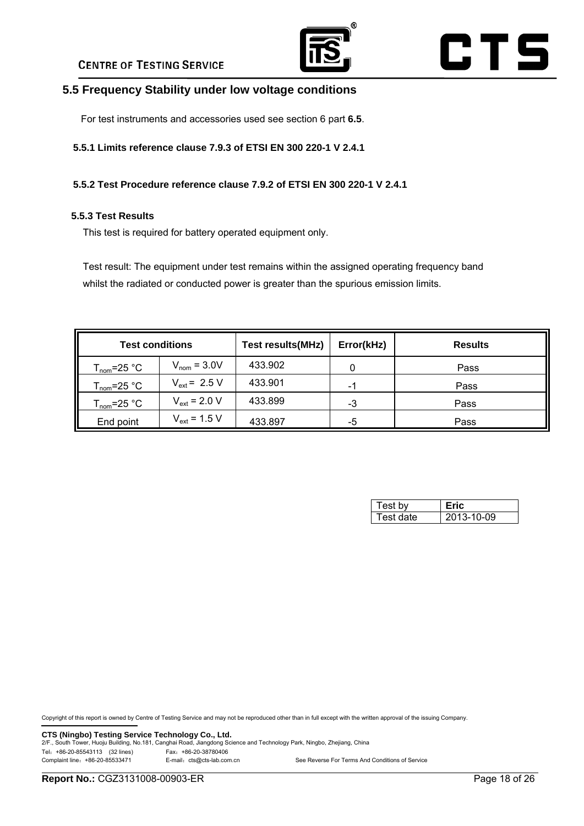

# CTS

## **5.5 Frequency Stability under low voltage conditions**

For test instruments and accessories used see section 6 part **6.5**.

**5.5.1 Limits reference clause 7.9.3 of ETSI EN 300 220-1 V 2.4.1** 

#### **5.5.2 Test Procedure reference clause 7.9.2 of ETSI EN 300 220-1 V 2.4.1**

#### **5.5.3 Test Results**

This test is required for battery operated equipment only.

Test result: The equipment under test remains within the assigned operating frequency band whilst the radiated or conducted power is greater than the spurious emission limits.

| <b>Test conditions</b>  |                   | <b>Test results(MHz)</b> | Error(kHz) | <b>Results</b> |
|-------------------------|-------------------|--------------------------|------------|----------------|
| $T_{\text{nom}}$ =25 °C | $V_{nom} = 3.0V$  | 433.902                  |            | Pass           |
| $T_{\text{nom}}$ =25 °C | $V_{ext}$ = 2.5 V | 433.901                  | $\sim$     | Pass           |
| $T_{\text{nom}}$ =25 °C | $V_{ext}$ = 2.0 V | 433.899                  | -3         | Pass           |
| End point               | $V_{ext}$ = 1.5 V | 433.897                  | -5         | Pass           |

| Test bv   |            |
|-----------|------------|
| Test date | 2013-10-09 |

Copyright of this report is owned by Centre of Testing Service and may not be reproduced other than in full except with the written approval of the issuing Company.

**CTS (Ningbo) Testing Service Technology Co., Ltd.**<br>2/F., South Tower, Huoju Building, No.181, Canghai Road, Jiangdong Science and Technology Park, Ningbo, Zhejiang, China Tel:+86-20-85543113 (32 lines) Fax:+86-20-38780406 Complaint line: +86-20-85533471 E-mail: cts@cts-lab.com.cn See Reverse For Terms And Conditions of Service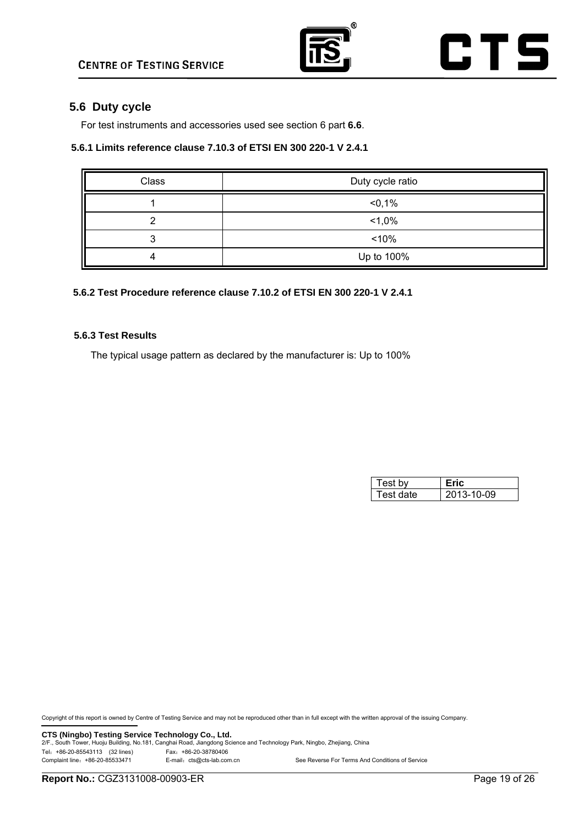

## **5.6 Duty cycle**

For test instruments and accessories used see section 6 part **6.6**.

#### **5.6.1 Limits reference clause 7.10.3 of ETSI EN 300 220-1 V 2.4.1**

| Class | Duty cycle ratio |
|-------|------------------|
|       | < 0,1%           |
|       | $1,0\%$          |
|       | < 10%            |
|       | Up to 100%       |

#### **5.6.2 Test Procedure reference clause 7.10.2 of ETSI EN 300 220-1 V 2.4.1**

#### **5.6.3 Test Results**

The typical usage pattern as declared by the manufacturer is: Up to 100%

| Test bv   |            |
|-----------|------------|
| Test date | 2013-10-09 |

Copyright of this report is owned by Centre of Testing Service and may not be reproduced other than in full except with the written approval of the issuing Company.

**CTS (Ningbo) Testing Service Technology Co., Ltd.** 2/F., South Tower, Huoju Building, No.181, Canghai Road, Jiangdong Science and Technology Park, Ningbo, Zhejiang, China Tel: +86-20-85543113 (32 lines)<br>Complaint line: +86-20-85533471 E-mail: cts@cts-lab.com E-mail: cts@cts-lab.com.cn See Reverse For Terms And Conditions of Service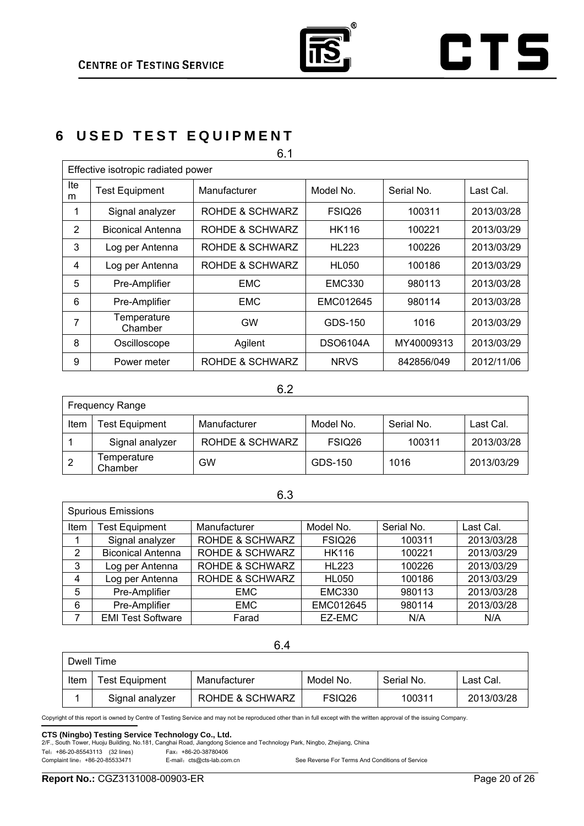

# **CTS**

# **6 USED TEST EQUIPMENT**

| 6.1      |                                    |                 |                 |            |            |  |
|----------|------------------------------------|-----------------|-----------------|------------|------------|--|
|          | Effective isotropic radiated power |                 |                 |            |            |  |
| Ite<br>m | <b>Test Equipment</b>              | Manufacturer    | Model No.       | Serial No. | Last Cal.  |  |
| 1        | Signal analyzer                    | ROHDE & SCHWARZ | FSIQ26          | 100311     | 2013/03/28 |  |
| 2        | <b>Biconical Antenna</b>           | ROHDE & SCHWARZ | HK116           | 100221     | 2013/03/29 |  |
| 3        | Log per Antenna                    | ROHDE & SCHWARZ | <b>HL223</b>    | 100226     | 2013/03/29 |  |
| 4        | Log per Antenna                    | ROHDE & SCHWARZ | <b>HL050</b>    | 100186     | 2013/03/29 |  |
| 5        | Pre-Amplifier                      | <b>EMC</b>      | <b>EMC330</b>   | 980113     | 2013/03/28 |  |
| 6        | Pre-Amplifier                      | <b>EMC</b>      | EMC012645       | 980114     | 2013/03/28 |  |
| 7        | Temperature<br>Chamber             | <b>GW</b>       | GDS-150         | 1016       | 2013/03/29 |  |
| 8        | Oscilloscope                       | Agilent         | <b>DSO6104A</b> | MY40009313 | 2013/03/29 |  |
| 9        | Power meter                        | ROHDE & SCHWARZ | <b>NRVS</b>     | 842856/049 | 2012/11/06 |  |

#### 6.2

|      | <b>Frequency Range</b> |                 |                    |            |            |  |  |  |
|------|------------------------|-----------------|--------------------|------------|------------|--|--|--|
| Item | Test Equipment         | Manufacturer    | Model No.          | Serial No. | Last Cal.  |  |  |  |
|      | Signal analyzer        | ROHDE & SCHWARZ | FSIQ <sub>26</sub> | 100311     | 2013/03/28 |  |  |  |
|      | Temperature<br>Chamber | GW              | GDS-150            | 1016       | 2013/03/29 |  |  |  |

## 6.3

|      | <b>Spurious Emissions</b> |                            |               |            |            |
|------|---------------------------|----------------------------|---------------|------------|------------|
| Item | <b>Test Equipment</b>     | Manufacturer               | Model No.     | Serial No. | Last Cal.  |
|      | Signal analyzer           | <b>ROHDE &amp; SCHWARZ</b> | FSIQ26        | 100311     | 2013/03/28 |
| 2    | <b>Biconical Antenna</b>  | <b>ROHDE &amp; SCHWARZ</b> | <b>HK116</b>  | 100221     | 2013/03/29 |
| 3    | Log per Antenna           | <b>ROHDE &amp; SCHWARZ</b> | <b>HL223</b>  | 100226     | 2013/03/29 |
| 4    | Log per Antenna           | <b>ROHDE &amp; SCHWARZ</b> | <b>HL050</b>  | 100186     | 2013/03/29 |
| 5    | Pre-Amplifier             | <b>EMC</b>                 | <b>EMC330</b> | 980113     | 2013/03/28 |
| 6    | Pre-Amplifier             | EMC                        | EMC012645     | 980114     | 2013/03/28 |
|      | <b>EMI Test Software</b>  | Farad                      | EZ-EMC        | N/A        | N/A        |

#### 6.4

| Dwell Time |                       |                 |           |            |            |
|------------|-----------------------|-----------------|-----------|------------|------------|
| Item       | <b>Test Equipment</b> | Manufacturer    | Model No. | Serial No. | Last Cal.  |
|            | Signal analyzer       | ROHDE & SCHWARZ | FSIQ26    | 100311     | 2013/03/28 |

Copyright of this report is owned by Centre of Testing Service and may not be reproduced other than in full except with the written approval of the issuing Company.

**CTS (Ningbo) Testing Service Technology Co., Ltd.** 2/F., South Tower, Huoju Building, No.181, Canghai Road, Jiangdong Science and Technology Park, Ningbo, Zhejiang, China

Tel:+86-20-85543113 (32 lines) Fax:+86-20-38780406

See Reverse For Terms And Conditions of Service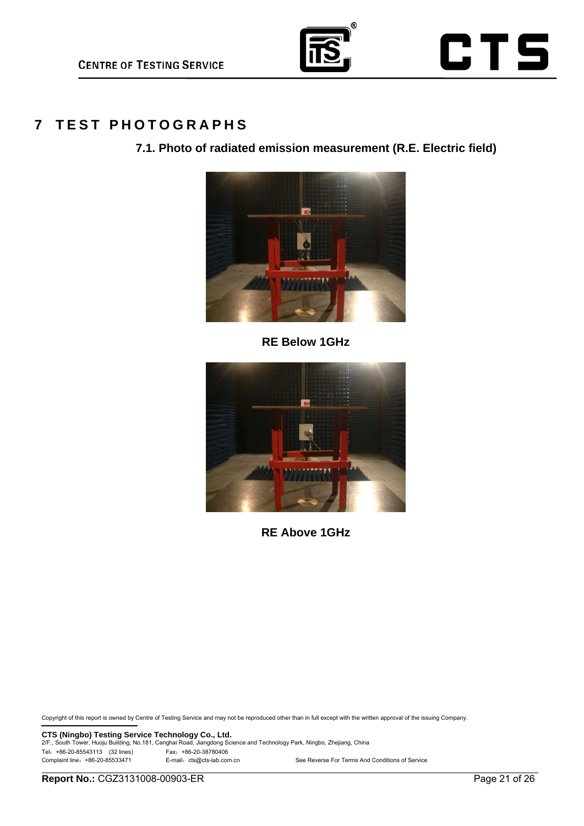

## **7 TEST PHOTOGRAPHS**

**7.1. Photo of radiated emission measurement (R.E. Electric field)** 



**RE Below 1GHz** 



**RE Above 1GHz** 

Copyright of this report is owned by Centre of Testing Service and may not be reproduced other than in full except with the written approval of the issuing Company.

**CTS (Ningbo) Testing Service Technology Co., Ltd.** 2/F., South Tower, Huoju Building, No.181, Canghai Road, Jiangdong Science and Technology Park, Ningbo, Zhejiang, China Tel: +86-20-85543113 (32 lines)<br>Complaint line: +86-20-85533471 E-mail: cts@cts-lab.com E-mail: cts@cts-lab.com.cn See Reverse For Terms And Conditions of Service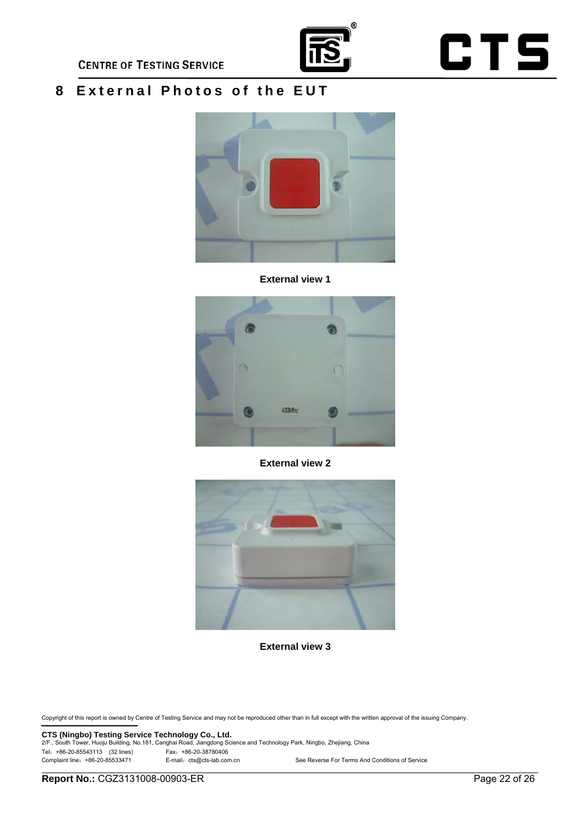

# **CTS**

## **8 External Photos of the EUT**



**External view 1** 



**External view 2**



**External view 3**

Copyright of this report is owned by Centre of Testing Service and may not be reproduced other than in full except with the written approval of the issuing Company.

**CTS (Ningbo) Testing Service Technology Co., Ltd.** 2/F., South Tower, Huoju Building, No.181, Canghai Road, Jiangdong Science and Technology Park, Ningbo, Zhejiang, China Tel:+86-20-85543113 (32 lines) Fax:+86-20-38780406 See Reverse For Terms And Conditions of Service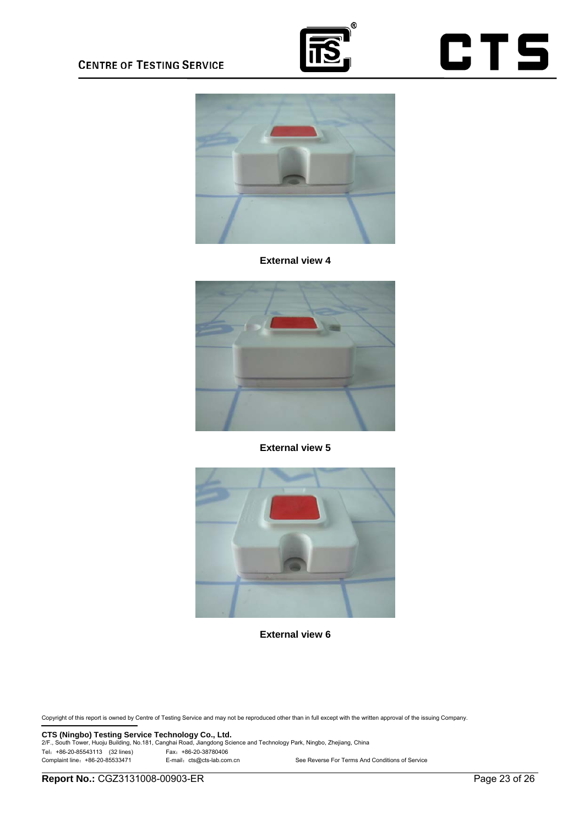

# **CTS**



#### **External view 4**



**External view 5** 



**External view 6** 

Copyright of this report is owned by Centre of Testing Service and may not be reproduced other than in full except with the written approval of the issuing Company.

**CTS (Ningbo) Testing Service Technology Co., Ltd.** 2/F., South Tower, Huoju Building, No.181, Canghai Road, Jiangdong Science and Technology Park, Ningbo, Zhejiang, China Tel:+86-20-85543113 (32 lines) Fax:+86-20-38780406 See Reverse For Terms And Conditions of Service

**Report No.:** CGZ3131008-00903-ER Page 23 of 26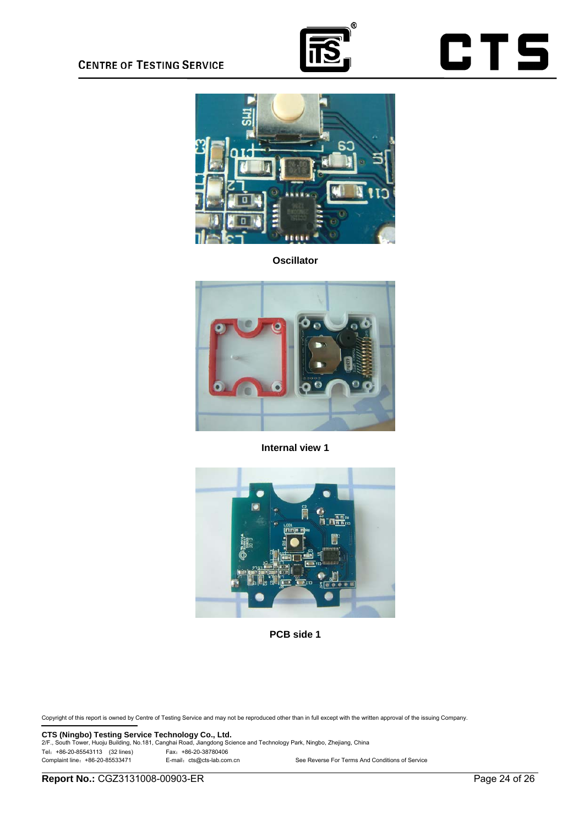





**Oscillator**



**Internal view 1**



**PCB side 1**

Copyright of this report is owned by Centre of Testing Service and may not be reproduced other than in full except with the written approval of the issuing Company.

**CTS (Ningbo) Testing Service Technology Co., Ltd.** 2/F., South Tower, Huoju Building, No.181, Canghai Road, Jiangdong Science and Technology Park, Ningbo, Zhejiang, China Tel:+86-20-85543113 (32 lines) Fax:+86-20-38780406 See Reverse For Terms And Conditions of Service

**Report No.:** CGZ3131008-00903-ER Page 24 of 26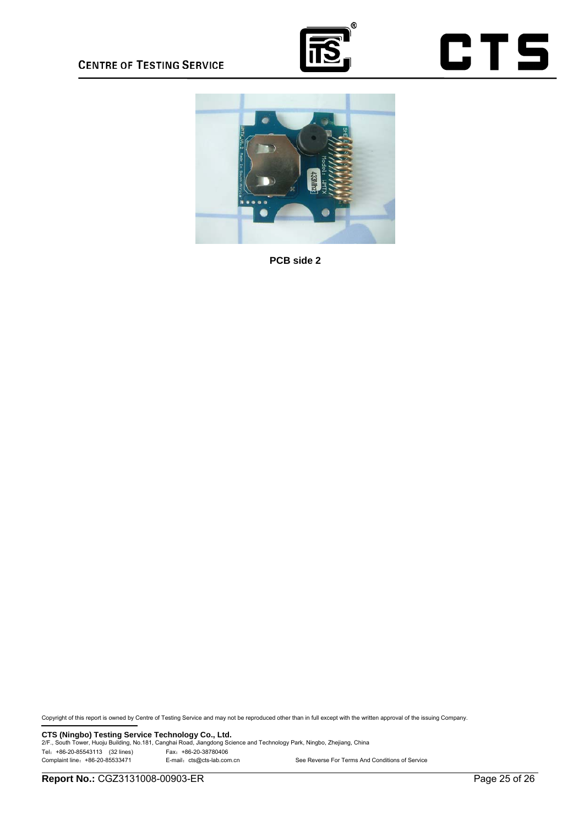





**PCB side 2**

Copyright of this report is owned by Centre of Testing Service and may not be reproduced other than in full except with the written approval of the issuing Company.

**CTS (Ningbo) Testing Service Technology Co., Ltd.** 2/F., South Tower, Huoju Building, No.181, Canghai Road, Jiangdong Science and Technology Park, Ningbo, Zhejiang, China Tel: +86-20-85543113 (32 lines)<br>
Complaint line: +86-20-85533471 E-mail: cts@cts-lab.com.cn See Reverse For Terms And Conditions of Service